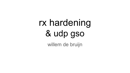# rx hardening & udp gso willem de bruijn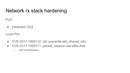# Network rx stack hardening

PoD

•  $[related (3x)]$ 

Local Priv

- CVE-2017-1000112: ufo overwrite skb\_shared\_info
- CVE-2017-1000111: packet reserve use-after-free
	- user namespaces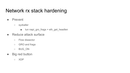# Network rx stack hardening

- Prevent
	- syzkaller
		- tun napi\_gro\_frags + eth\_get\_headlen
- Reduce attack surface
	- Flow dissector
	- GRO and frags
	- BUG\_ON
- Big red button
	- XDP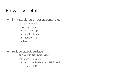# Flow dissector

- in rx stack, so under adversary ctrl
	- o eth get headlen
	- \_\_skb\_get\_hash
		- get\_rps\_cpu
		- packet fanout
		- tpacket\_v3
	- cls\_flower
- reduce attack surface
	- o FLOW DISSECTOR KEY ...
	- safe parser language
		- skb\_set\_hash from a BPF hook
			- $\bullet$  XDP? ...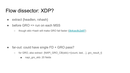### Flow dissector: XDP?

- extract {headlen, rxhash}
- $\bullet$  before GRO => run on each MSS
	- though skb->hash will make GRO fail faster (0b4cec8c2e87)

- $\bullet$  far-out: could have single  $FD + GRO$  pass?
	- $\circ$  for GRO, also extract {NAPI\_GRO\_CB(skb)->{count, last, ..}, gro\_result\_t}
		- napi\_gro\_skb: 20 fields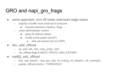# GRO and napi gro\_frags

- same approach: turn off rarely exercised edge cases
	- majority of traffic from small set of protocols
		- exclude extension headers, frags, ...
	- under administrator control
		- apply fix without reboot
		- modify parse graph (sysctl?)
			- else per-packet opt-out (XDP)
- dev add offload
	- $\circ$  {ip, ipv6, eth, vlan, mpls [um]c, nsh}
	- net\_offload.flags & INET6\_PROTO\_GSO\_EXTHDR
- inet[6] add offload
	- $\circ$  {tcp, udp, ipip/sit/.., esp, gre, sctp, v6 routing, v6 dstopts (, v6 nexthop)}
	- packet offload.priority < THRESHOLD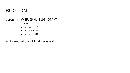# BUG\_ON

#### egrep -nrl '(\<BUG\>|\<BUG\_ON\>)'

- net: 810
	- net/core: 76
	- net/ipv4: 81
	- net/ipv6: 34

low hanging fruit: just a lot of drudgery work..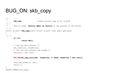# BUG ON: skb copy

```
/** 
 * skb copy - create private copy of an sk buff
 [..]
  * data to alter. Returns %NULL on failure or the pointer to the buffer
\lceil \ldots \rceilstruct sk buff *skb copy(const struct sk buff *skb, gfp t gfp mask)
{ 
 [..]
        if (!n)
                 return NULL;
```

```
 /* Set the data pointer */
skb reserve(n, headerlen);
 /* Set the tail pointer and length */
 skb_put(n, skb->len);
```
**BUG\_ON(skb\_copy\_bits(skb, -headerlen, n->head, headerlen + skb->len));**

```
copy skb header(n, skb);
 return n;
```

```
EXPORT SYMBOL(skb copy);
```
}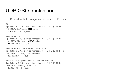# UDP GSO: motivation

QUIC: send multiple datagrams with same UDP header

```
# tcp
$ perf stat -a -C 4,5 -e cycles ./sendstream -4 -C 4 -D $DST -l 4 -t
 1123 MB/s 8991 msg/s 8991 calls/s
    5,759,912,562 cycles
```

```
# connected udp
$ perf stat -a -C 4,5 -e cycles ./sendstream -4 -C 4 -D $DST -l 4
 1142 MB/s 9141 msg/s 813549 calls/s
   15,884,155,703 cycles
```

```
# connectionless does: does NOT saturate link
$ perf stat -a -C 4,5 -e cycles ./sendstream -4 -C 4 -D $DST -l 4 -u
  940 MB/s 7527 msg/s 669903 calls/s
   16,426,226,536 cycles
```

```
# tcp with tso off gso off: does NOT saturate link either
$ perf stat -a -C 4,5 -e cycles ./sendstream -4 -C 4 -D $DST -l 4 -t
  887 MB/s 7100 msg/s 7100 calls/s
   16,865,336,172 cycles
```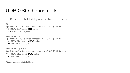### UDP GSO: benchmark

QUIC use-case: batch datagrams, replicate UDP header

```
# tcp
$ perf stat -a -C 4,5 -e cycles ./sendstream -4 -C 4 -D $DST -l 4 -t
 1123 MB/s 8991 msg/s 8991 calls/s
    5,759,912,562 cycles
```

```
# connected udp
$ perf stat -a -C 4,5 -e cycles ./sendstream -4 -C 4 -D $DST -l 4
 1142 MB/s 9141 msg/s 813549 calls/s
   15,884,155,703 cycles
```

```
# connected udp + gso *
$ perf stat -a -C 4,5 -e cycles ./sendstream -4 -C 4 -D $DST -l 4 -U -u
 1147 MB/s 9183 msg/s 27549 calls/s
   10,602,866,911 cycles
```
(\*) zero checksum in initial hack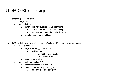# UDP GSO: design

- amortize packet traversal
	- xmit\_more
	- protocol stack
		- batching of individual expensive operations
			- skb\_set\_owner\_w call in sendmmsg
			- enqueue skb chain when qdisc lock held
		- simpler: segmentation offload
- GSO: write large packet of N segments (including L7 headers, evenly spaced)
	- proof-of-concept
		- **IP\_PMTUDISC\_INTERFACE** 
			- $\bullet$  builds  $>$  mtu
				- do not fragment locally
				- do not set DF bit
		- set gso\_{type, size}
	- needs better production API
		- setsockopt/cmsg gso\_size OR
		- infer from sendmmsg + MSG\_BATCH
			- SO\_BATCH (SO\_STRICT?)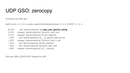# UDP GSO: zerocopy

remaining cost after gso:

#perf record -a -C 4,5 -e cycles /export/hda3/tmp/sendstream -4 -C 4 -D \$DST -l 4 -U -u

 36.10% perf [kernel.kallsyms] [k] **copy\_user\_generic\_string** 9.70% swapper [kernel.kallsyms] [k] bnx2x\_start\_xmit 4.01% swapper [kernel.kallsyms] [k] skb\_segment 1.76% perf [kernel.kallsyms] [k] \_\_ip\_append\_data.isra.48 1.67% swapper [kernel.kallsyms] [k] bnx2x\_free\_tx\_pkt 1.53% perf [kernel.kallsyms] [k] skb\_segment 1.50% perf [kernel.kallsyms] [k] bnx2x\_start\_xmit 1.38% swapper [kernel.kallsyms] [k] memcpy

With gso, MSG\_ZEROCOPY feasible for UDP.